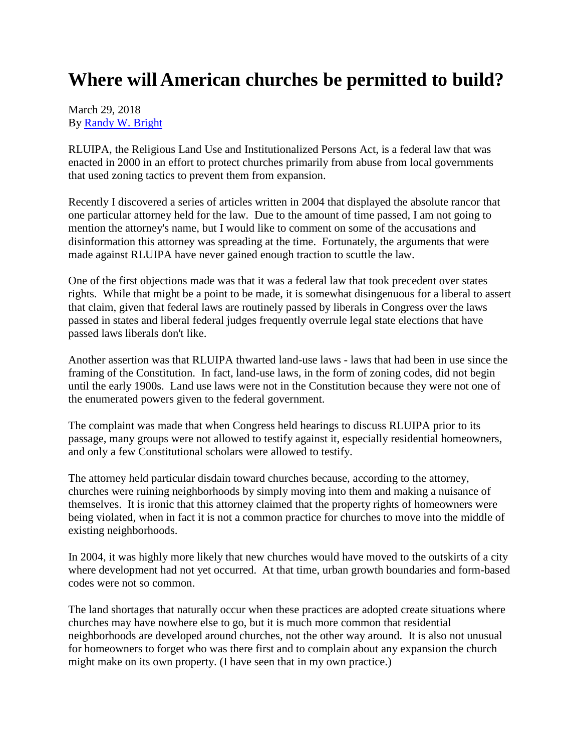## **Where will American churches be permitted to build?**

March 29, 2018 By [Randy W. Bright](http://www.tulsabeacon.com/author/slug-o6yd1v)

RLUIPA, the Religious Land Use and Institutionalized Persons Act, is a federal law that was enacted in 2000 in an effort to protect churches primarily from abuse from local governments that used zoning tactics to prevent them from expansion.

Recently I discovered a series of articles written in 2004 that displayed the absolute rancor that one particular attorney held for the law. Due to the amount of time passed, I am not going to mention the attorney's name, but I would like to comment on some of the accusations and disinformation this attorney was spreading at the time. Fortunately, the arguments that were made against RLUIPA have never gained enough traction to scuttle the law.

One of the first objections made was that it was a federal law that took precedent over states rights. While that might be a point to be made, it is somewhat disingenuous for a liberal to assert that claim, given that federal laws are routinely passed by liberals in Congress over the laws passed in states and liberal federal judges frequently overrule legal state elections that have passed laws liberals don't like.

Another assertion was that RLUIPA thwarted land-use laws - laws that had been in use since the framing of the Constitution. In fact, land-use laws, in the form of zoning codes, did not begin until the early 1900s. Land use laws were not in the Constitution because they were not one of the enumerated powers given to the federal government.

The complaint was made that when Congress held hearings to discuss RLUIPA prior to its passage, many groups were not allowed to testify against it, especially residential homeowners, and only a few Constitutional scholars were allowed to testify.

The attorney held particular disdain toward churches because, according to the attorney, churches were ruining neighborhoods by simply moving into them and making a nuisance of themselves. It is ironic that this attorney claimed that the property rights of homeowners were being violated, when in fact it is not a common practice for churches to move into the middle of existing neighborhoods.

In 2004, it was highly more likely that new churches would have moved to the outskirts of a city where development had not yet occurred. At that time, urban growth boundaries and form-based codes were not so common.

The land shortages that naturally occur when these practices are adopted create situations where churches may have nowhere else to go, but it is much more common that residential neighborhoods are developed around churches, not the other way around. It is also not unusual for homeowners to forget who was there first and to complain about any expansion the church might make on its own property. (I have seen that in my own practice.)